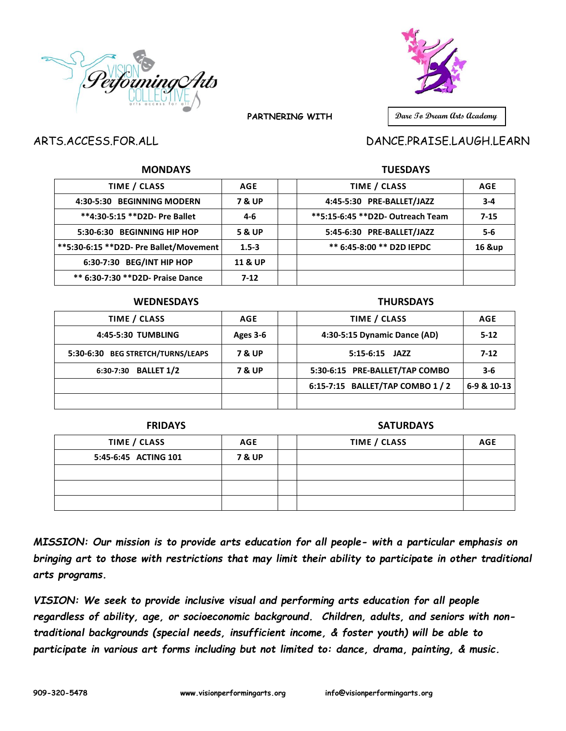



 **PARTNERING WITH** 

# **Dare To Dream Arts Academy**

## ARTS.ACCESS.FOR.ALL DANCE.PRAISE.LAUGH.LEARN

### **MONDAYS TUESDAYS**

| TIME / CLASS                            | <b>AGE</b>         | TIME / CLASS                      | AGE      |
|-----------------------------------------|--------------------|-----------------------------------|----------|
| 4:30-5:30 BEGINNING MODERN              | <b>7 &amp; UP</b>  | 4:45-5:30 PRE-BALLET/JAZZ         | $3 - 4$  |
| **4:30-5:15 ** D2D- Pre Ballet          | 4-6                | **5:15-6:45 ** D2D- Outreach Team | $7 - 15$ |
| 5:30-6:30 BEGINNING HIP HOP             | 5 & UP             | 5:45-6:30 PRE-BALLET/JAZZ         | $5 - 6$  |
| **5:30-6:15 ** D2D- Pre Ballet/Movement | $1.5 - 3$          | ** 6:45-8:00 ** D2D IEPDC         | 16 &up   |
| 6:30-7:30 BEG/INT HIP HOP               | <b>11 &amp; UP</b> |                                   |          |
| ** 6:30-7:30 ** D2D- Praise Dance       | $7-12$             |                                   |          |

#### **WEDNESDAYS THURSDAYS**

| TIME / CLASS                      | AGE               |                              | TIME / CLASS                     | <b>AGE</b>  |
|-----------------------------------|-------------------|------------------------------|----------------------------------|-------------|
| 4:45-5:30 TUMBLING                | Ages 3-6          | 4:30-5:15 Dynamic Dance (AD) |                                  | $5 - 12$    |
| 5:30-6:30 BEG STRETCH/TURNS/LEAPS | <b>7 &amp; UP</b> |                              | $5:15-6:15$ JAZZ                 | $7-12$      |
| 6:30-7:30 BALLET 1/2              | <b>7 &amp; UP</b> |                              | 5:30-6:15 PRE-BALLET/TAP COMBO   | $3 - 6$     |
|                                   |                   |                              | 6:15-7:15 BALLET/TAP COMBO 1 / 2 | 6-9 & 10-13 |
|                                   |                   |                              |                                  |             |

#### **FRIDAYS SATURDAYS**

| TIME / CLASS         | <b>AGE</b>        | TIME / CLASS | <b>AGE</b> |
|----------------------|-------------------|--------------|------------|
| 5:45-6:45 ACTING 101 | <b>7 &amp; UP</b> |              |            |
|                      |                   |              |            |
|                      |                   |              |            |
|                      |                   |              |            |

*MISSION: Our mission is to provide arts education for all people- with a particular emphasis on bringing art to those with restrictions that may limit their ability to participate in other traditional arts programs.*

*VISION: We seek to provide inclusive visual and performing arts education for all people regardless of ability, age, or socioeconomic background. Children, adults, and seniors with nontraditional backgrounds (special needs, insufficient income, & foster youth) will be able to participate in various art forms including but not limited to: dance, drama, painting, & music.*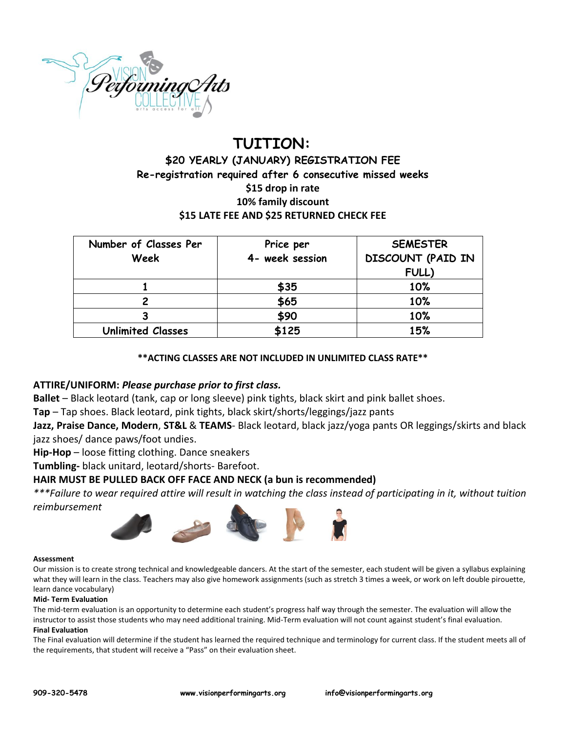

# **TUITION: \$20 YEARLY (JANUARY) REGISTRATION FEE Re-registration required after 6 consecutive missed weeks \$15 drop in rate 10% family discount \$15 LATE FEE AND \$25 RETURNED CHECK FEE**

| Number of Classes Per    | Price per       | <b>SEMESTER</b>          |
|--------------------------|-----------------|--------------------------|
| Week                     | 4- week session | <b>DISCOUNT (PAID IN</b> |
|                          |                 | FULL)                    |
|                          | \$35            | 10%                      |
|                          | \$65            | 10%                      |
|                          | \$90            | 10%                      |
| <b>Unlimited Classes</b> | \$125           | 15%                      |

#### **\*\*ACTING CLASSES ARE NOT INCLUDED IN UNLIMITED CLASS RATE\*\***

#### **ATTIRE/UNIFORM:** *Please purchase prior to first class.*

**Ballet** – Black leotard (tank, cap or long sleeve) pink tights, black skirt and pink ballet shoes.

**Tap** – Tap shoes. Black leotard, pink tights, black skirt/shorts/leggings/jazz pants

**Jazz, Praise Dance, Modern**, **ST&L** & **TEAMS**- Black leotard, black jazz/yoga pants OR leggings/skirts and black jazz shoes/ dance paws/foot undies.

**Hip-Hop** – loose fitting clothing. Dance sneakers

**Tumbling-** black unitard, leotard/shorts- Barefoot.

### **HAIR MUST BE PULLED BACK OFF FACE AND NECK (a bun is recommended)**

*\*\*\*Failure to wear required attire will result in watching the class instead of participating in it, without tuition* 

*reimbursement*



#### **Assessment**

Our mission is to create strong technical and knowledgeable dancers. At the start of the semester, each student will be given a syllabus explaining what they will learn in the class. Teachers may also give homework assignments (such as stretch 3 times a week, or work on left double pirouette, learn dance vocabulary)

#### **Mid- Term Evaluation**

The mid-term evaluation is an opportunity to determine each student's progress half way through the semester. The evaluation will allow the instructor to assist those students who may need additional training. Mid-Term evaluation will not count against student's final evaluation. **Final Evaluation**

The Final evaluation will determine if the student has learned the required technique and terminology for current class. If the student meets all of the requirements, that student will receive a "Pass" on their evaluation sheet.